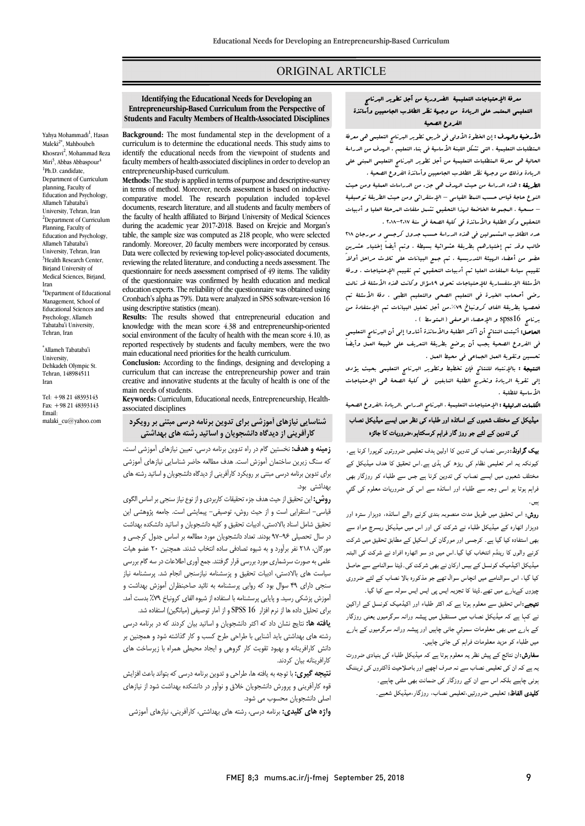# ORIGINAL ARTICLE

 **Identifying the Educational Needs for Developing an Entrepreneurship-Based Curriculum from the Perspective of Students and Faculty Members of Health-Associated Disciplines**

Ī 

Yahya Mohammadi<sup>1</sup>, Hasan Maleki<sup>2\*</sup>, Mahboubeh Khosravi<sup>2</sup>, Mohammad Reza Miri<sup>3</sup>, Abbas Abbaspour<sup>4</sup> <sup>1</sup>Ph.D. candidate, Department of Curriculum planning, Faculty of Education and Psychology, Allameh Tabataba'i University, Tehran, Iran <sup>2</sup>Department of Curriculum Planning, Faculty of Education and Psychology, Allameh Tabataba'i University, Tehran, Iran <sup>3</sup>Health Research Center, Birjand University of Medical Sciences, Birjand, Iran <sup>4</sup>Department of Educational

Management, School of Educational Sciences and Psychology, Allameh Tabataba'i University, Tehran, Iran

\* Allameh Tabataba'i University, Dehkadeh Olympic St. Tehran, 148984511 Iran

Tel: +98 21 48393143 Fax: +98 21 48393143 Email: malaki\_cu@yahoo.com

 **Background:** The most fundamental step in the development of a curriculum is to determine the educational needs. This study aims to<br>identify the educational needs from the viewpoint of students and faculty members of health-associated disciplines in order to develop an curriculum is to determine the educational needs. This study aims to entrepreneurship-based curriculum.

 **Methods:** The study is applied in terms of purpose and descriptive-survey in terms of method. Moreover, needs assessment is based on inductive- documents, research literature, and all students and faculty members of the faculty of health affiliated to Birjand University of Medical Sciences<br>three the assolutions and 2017-2019. Based on Kaikie and Metasels table, the sample size was computed as 218 people, who were selected randomly. Moreover, 20 faculty members were incorporated by census. reviewing the related literature, and conducting a needs assessment. The questionnaire for needs assessment comprised or 49 nems. The validity<br>of the questionnaire was confirmed by health education and medical education experts. The reliability of the questionnaire was obtained using Cronbach's alpha as 79%. Data were analyzed in SPSS software-version 16 comparative model. The research population included top-level during the academic year 2017-2018. Based on Krejcie and Morgan's Data were collected by reviewing top-level policy-associated documents, questionnaire for needs assessment comprised of 49 items. The validity using descriptive statistics (mean).

 **Results:** The results showed that entrepreneurial education and social environment of the faculty of health with the mean score 4.10, as reported respectively by students and faculty members, '<br>main educational need priorities for the health curriculum. knowledge with the mean score 4.38 and entrepreneurship-oriented reported respectively by students and faculty members, were the two

 **Conclusion:** According to the findings, designing and developing a curriculum that can increase the entrepreneurship power and train<br>creative and innovative students at the faculty of health is one of the curriculum that can increase the entrepreneurship power and train main needs of students.

 **Keywords:** Curriculum, Educational needs, Entrepreneurship, Healthassociated disciplines

# **شناسایی نیازهاي آموزشی براي تدوین برنامه درسی مبتنی بر رویکرد کارآفرینی از دیدگاهدانشجویان و اساتید رشته هاي بهداشتی**

 **زمینه و هدف:** نخستین گام در راه تدوین برنامه درسی، تعیین نیازهاي آموزشی است، که سنگ زیرین ساختمان آموزش است. هدف مطالعه حاضر شناسایی نیازهاي آموزشی براي تدوین برنامه درسی مبتنی بر رویکرد کارآفرینی از دیدگاه دانشجویان و اساتید رشته هاي بهداشتی بود.

**روش:** این تحقیق از حیث هدف جزء تحقیقات کاربردی و از نوع نیاز سنجی بر اساس الگوی<br>تاریخی ایران میلی ت سی مستقریق شدت و از سیت زرترن و سیمی میشه سی است. است میزودستی این<br>نحقیق شامل اسناد بالادستی، ادبیات تحقیق و کلیه دانشجویان و اساتید دانشکده بهداشت در سال تحصیلی 97-96 بودند. تعداد دانشجویان مورد مطالعه بر اساس جدول کرجسی و مورگان، 218 نفر برآورد و به شیوه تصادفی ساده انتخاب شدند. همچنین 20 عضو هیات علمی به صورت سرشماري مورد بررسی قرار گرفتند. جمع آوري اطلاعات در سه گام بررسی سیاست هاي بالادستی، ادبیات تحقیق و پزسشنامه نیازسنجی انجام شد. پرسشنامه نیاز سنجی داراي 49 سوال بود که روایی پرسشنامه به تائید صاحبنظران آموزش بهداشت و بورس پرستی رسید و پیسی پرسستند به استفاد از سیود سای طروبان ۲۰۰۰ بسته<br>برای تحلیل داده ها از نرم افزار SPSS 16 و از آمار توصیفی (میانگین) استفاده شد. قیاسی- استقرایی است و از حیث روش، توصیفی- پیمایشی است. جامعه پژوهشی این آموزش پزشکی رسید. و پایایی پرسشنامه با استفاده از شیوه الفاي کرونباخ %79 بدست آمد.

 **یافته ها:** نتایج نشان داد که اکثر دانشجویان و اساتید بیان کردند که در برنامه درسی رشته هاي بهداشتی باید آشنایی با طراحی طرح کسب و کار گذاشته شود و همچنین بر دانش کارافرینانه و بهبود تقویت کار گروهی و ایجاد محیطی همراه با زیرساخت هاي کارافرینانه بیان کردند.

 **نتیجه گیري:** با توجه به یافته ها، طراحی و تدوین برنامه درسی که بتواند باعث افزایش قوه کارآفرینی و پرورش دانشجویان خلاق و نوآور در دانشکده بهداشت شود از نیازهاي اصلی دانشجویان محسوب می شود.

S **واژه هاي کلیدي:** برنامه درسی، رشته هاي بهداشتی، کارآفرینی، نیازهاي آموزشی

#### معرفۀ الإحتیاجات التعلیمیۀ الضروریۀ من أجل تطویر البرنامج j<br>La التعلیمی المعتمد على الریادة من وجهۀ نظر الطلاب الجامعیین وأساتذة الفروع الصحیۀ

 $\overline{\phantom{0}}$ 

ا**لأرضية وال<sub>م</sub>دف :** إن الفطوة الأول<sub>ى</sub> ف<sub>ى</sub> طريق تطوير البرنام<sub>ج</sub> التعليسى هى معرفۀ المتطلبات التعلیمیۀ ، التی تشکل اللبنۀ الأساسیۀ فی بناء التعلیم . الهدف من الدراسۀ الحالیۀ هی معرفۀ المتطلبات التعلیمیۀ من أجل تطویر البرنامج التعلیمی المبنی على الریادة وذلک من وجهۀ نظر الطلاب الجامعیین وأساتذة الفروع الصحیۀ . السریسہ کسی الندراللہ عن حسب الرکوے کی جزء عن الندراللہات العلویۃ ومن حیث<br>النوع حاجۀ قیاس حسب النمط القیاسی – الإستقرائی ومن حیث الطریقۀ توصیفیۀ – مسحیۀ . المجموعۀ الخاضعۀ لهذا التحقیق تشمل ملفات المرحلۀ العلیا و أدبیات الطریقۀ : هذه الدراسۀ من حیث الهدف هی جزء من الدراسات العملیۀ ومن حیث

 التحقیق وکل الطلبۀ والأساتذة فی کلیۀ الصحۀ فی سنۀ 2018-2017 . عدد الطلاب المشمولین فی هذه الدراسۀ حسب جدول کرجسی و مورجان 218 طالب وقد تم إختیارهم بطریقۀ عشوائیۀ بسیطۀ . وتم أیضاً إختیار عشرین عضو من أعضاء الرسِنة التدریسیۀ . تم جمع البیانات على ثلاث مراحل أولاً<br>. سوپيم الياسة السندات السيد عم الجبيرات العاصيون عم سوپيم اليد عليه الساد وکانت<br>الأسئلۀ الإستفساریۀ للإحتیاجات تحوي 49سؤال وکانت هذه الأسئلۀ قد نالت رضى أصحاب الخبرة فی التعلیم الصحی والتعلیم الطبی . دقۀ الأسئلۀ تم تقییم سیاسۀ الملفات العلیا ثم أدبیات التحقیق ثم تقییم الإحتیاجات . ورقۀ

 فحصها بطریقۀ الفاي کرونباخ .%79من أجل تحلیل البیانات تم الإستفادة من برنامج 16spss و الإحصاء الوصفی (المتوسط ) . **لحاصل:** أثبتت النتائج أن أكثر الطلبة والأساتذة أشاروا إلى أن البرنامج التعليمي فی الفروع الصحیۀ یجب أن یوضع بطریقۀ التعریف على طبیعۀ العمل وأیضاً

- ستین رسویہ مسلم مسلم علی سبب مسلماً .<br>**النتیجۀ :** بالإنتباه للنتائج فإن تخطیط وتطویر البرنامج التعلیمی بحیث یؤدي إلى تقویۀ الریادة وتخریج الطلبۀ النابغین فی کلیۀ الصحۀ هی الإحتیاجات تحسین وتقویۀ العمل الجماعی فی محیط العمل . الأساسیۀ للطلبۀ .

الکلمات الدلیلیۀ : الإحتیاجات التعلیمیۀ ، البرنامج الدراسی ،الریادة ،الفروع الصحیۀ

# میڈیکل کے مختلف شعبوں کے اساتذہ اور طلباء کی نظر میں ایسے میڈیکل نصاب کی تدوین کے لئے جو روز گار فراہم کرسکتاہو،ضروریات کا جائزہ

**یک گراونڈ:**درسی نصاب کی تدوین کا اولین ہدف تعلیمی ضرورتوں کوپورا کرنا ہے، کیونکہ یہ امر تعلیمی نظام کی ریڑھ کی ہڈی ہے۔اس تحقیق کا ہدف میڈیکل کے مختلف شعبوں میں ایسے نصاب کی تدوین کرنا ہے جس سے طلباء کو روزگار بھی نراہم ہوتا ہو اسی وجہ سے طلباء اور اساتذہ سے اس کی ضروریات معلوم کی گئي ہیں ۔<br>ا

**روش:** اس تحقیق میں طویل مدت منصوبہ بندی کرنے والے اساتذہ، دوہزار سترہ اور<br>روش: اس میں مصدر خاص دورار میں مصدر میں اس میں مضمن میں میں .رہر رہی رہ سے بیبیمن سبب سے سرمت سی رز میں بین بیبیمن ریسرچ میں ہے۔<br>پھی استفادہ کیا گیا ہے۔ کرجسی اور مورگان کی اسکیل کے مطابق تحقیق میں شرکت وں کے اس میں ہمارے کے لیے دو دو دو ہے کہ اس میں ہے۔<br>کرنے والوں کا رینڈم انتخاب کیا گیا۔اس میں دو سو اٹھارہ افراد نے شرکت کی البتہ میڈیکل اکیڈمیک کونسل کے بیس ارکان نے بھی شرکت کی۔ڈیٹا سوالنامے سے حاصل کیا گیا، اس سوالنامے میں انچاس سوال تھے جو مذکورہ بالا نصاب کے لئے ضروری چیزوں کےبار<sub>ے</sub> میں تھے۔ڈیٹا کا تجزیہ ایس پی ایس ایس سولہ سے کیا گیا۔ دوہزار اٹھارہ کے میڈیکل طلباء نے شرکت کی اور اس میں میڈیکل ریسرچ مواد سے

**تیبجے:**اس تحقیق سے معلوم ہوتا ہے کہ اکثر طلباء اور اکیڈمیک کونسل کے اراکین<br>۔ ے کہا ہے کہ میڈیکل نصاب میں مستقبل میں پیشہ ورانہ سرگرمیوں یعن*ی* روزگار<br>۔ کے بارے میں بھی معلومات سموئي جانی چاہیں اور پیشہ ورانہ سرگرمیوں کے بارے<br>میں میں میں طلباء کو مزید معلومات فراہم کی جانی چاہیں۔

میں صبہ عز مرید مصورے عزبہم علی جسی چاہیں.<br>**سفارش:**ان نتائج کے پیش نظر یہ معلوم ہوتا ہے کہ میڈیکل طلباء کی بنیادی ضرورت وں کا ان کے بیان اور اس کا اہم اور اس کے بات کے اس کے دور کی ٹریننگ<br>یہ ہے کہ ان کی تعلیمی نصاب سے نہ صرف اچھے اور باصلاحیت ڈاکٹروں کی ٹریننگ ۔<br>ونی چاہیے بلکہ اس سے ان کے روزگار کی ضمانت بھی ملنی چاہیے۔ **تلیدی الفاظ:** تعلیمی ضرورتیں،تعلیمی نصاب، روزگار،میڈیکل شعبے۔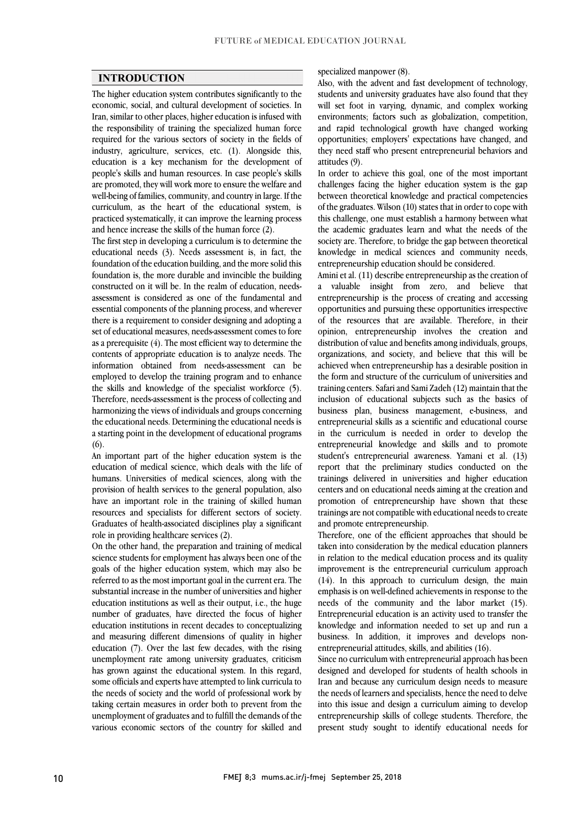### **INTRODUCTION**

 The higher education system contributes significantly to the economic, social, and cultural development of societies. In Iran, similar to other places, higher education is infused with required for the various sectors of society in the fields of industry, agriculture, services, etc. (1). Alongside this, education is a key mechanism for the development of people's skills and human resources. In case people's skills are promoted, they will work more to ensure the weblack and<br>well-being of families, community, and country in large. If the curriculum, as the heart of the educational system, is practiced systematically, it can improve the learning process the responsibility of training the specialized human force are promoted, they will work more to ensure the welfare and and hence increase the skills of the human force (2).

and nence increase the skills of the numan force (2).<br>The first step in developing a curriculum is to determine the educational needs (3). Needs assessment is, in fact, the foundation of the education building, and the more solid this foundation is, the more durable and invincible the building assessment is considered as one of the fundamental and essential components of the planning process, and wherever there is a requirement to consider designing and adopting a set of educational measures, needs-assessment comes to fore as a prerequisite  $(4)$ . The most efficient way to determine the explanation is to analyze a so de. The information obtained from needs-assessment can be employed to develop the training program and to enhance the skills and knowledge of the specialist workforce (5). harmonizing the views of individuals and groups concerning the educational needs. Determining the educational needs is a starting point in the development of educational programs constructed on it will be. In the realm of education, needscontents of appropriate education is to analyze needs. The Therefore, needs-assessment is the process of collecting and  $(6)$ .

education of medical science, which deals with the life of humans. Universities of medical sciences, along with the provision of health services to the general population, also have an important role in the training of skilled human Graduates of health-associated disciplines play a significant An important part of the higher education system is the resources and specialists for different sectors of society. role in providing healthcare services (2).

 On the other hand, the preparation and training of medical science students for employment has always been one of the referred to as the most important goal in the current era. The substantial increase in the number of universities and higher education institutions as well as their output, i.e., the huge number of graduates, have directed the focus of higher and measuring different dimensions of quality in higher education (7). Over the last few decades, with the rising unemployment rate among university graduates, criticism some officials and experts have attempted to link curricula to the needs of society and the world of professional work by taking certain measures in order both to prevent from the unemployment of graduates and to fulfill the demands of the various economic sectors of the country for skilled and goals of the higher education system, which may also be education institutions in recent decades to conceptualizing has grown against the educational system. In this regard,

#### specialized manpower (8).

 Also, with the advent and fast development of technology, students and university graduates have also found that they will set foot in varying, dynamic, and complex working environments; factors such as globalization, competition, opportunities; employers' expectations have changed, and they need staff who present entrepreneurial behaviors and and rapid technological growth have changed working attitudes (9).

In order to achieve this goal, one of the most important between theoretical knowledge and practical competencies of the graduates. Wilson (10) states that in order to cope with this challenge, one must establish a harmony between what the academic graduates learn and what the needs of the knowledge in medical sciences and community needs, challenges facing the higher education system is the gap society are. Therefore, to bridge the gap between theoretical entrepreneurship education should be considered.

 Amini et al. (11) describe entrepreneurship as the creation of a valuable insight from zero, and believe that<br>entrepreneurship is the process of creating and accessing opportunities and pursuing these opportunities irrespective of the resources that are available. Therefore, in their opinion, entrepreneurship involves the creation and organizations, and society, and believe that this will be achieved when entrepreneurship has a desirable position in the form and structure of the curriculum of universities and training centers. Safari and Sami Zadeh (12) maintain that the business plan, business management, e-business, and entrepreneurial skills as a scientific and educational course in the curriculum is needed in order to develop the entrepreneurial knowledge and skills and to promote report that the preliminary studies conducted on the trainings delivered in universities and higher education centers and on educational needs aiming at the creation and i<br>İ trainings are not compatible with educational needs to create<br>and promote entrepreneurship a valuable insight from zero, and believe that distribution of value and benefits among individuals, groups, inclusion of educational subjects such as the basics of student's entrepreneurial awareness. Yamani et al. (13) promotion of entrepreneurship have shown that these and promote entrepreneurship.

 Therefore, one of the efficient approaches that should be taken into consideration by the medical education planners in relation to the medical education process and its quality<br>in agreement is the extreme quality eventual expressed  $(14)$ . In this approach to curriculum design, the main emphasis is on well-defined achievements in response to the needs of the community and the labor market (15). knowledge and information needed to set up and run a business. In addition, it improves and develops nonimprovement is the entrepreneurial curriculum approach Entrepreneurial education is an activity used to transfer the entrepreneurial attitudes, skills, and abilities (16).

 Since no curriculum with entrepreneurial approach has been Iran and because any curriculum design needs to measure the needs of learners and specialists, hence the need to delve into this issue and design a curriculum aiming to develop entrepreneurship skills of college students. Therefore, the present study sought to identify educational needs for designed and developed for students of health schools in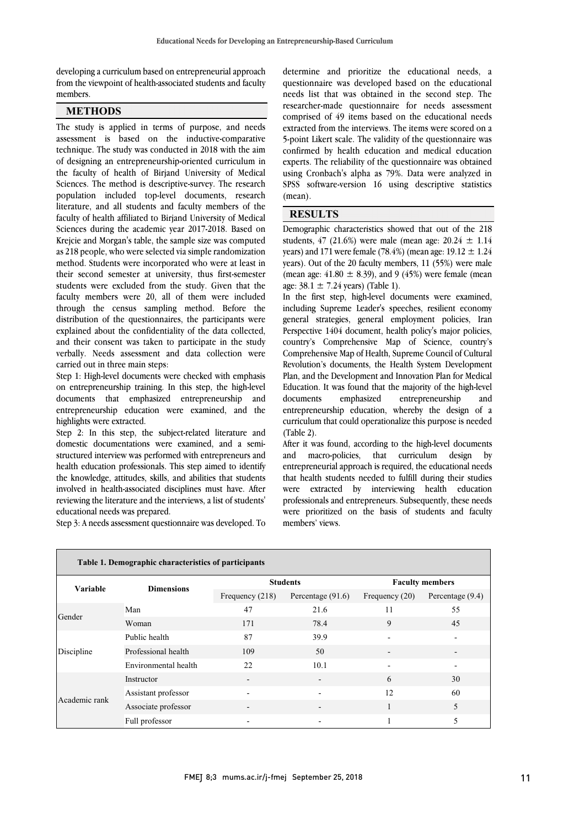I

 from the viewpoint of health-associated students and faculty ľ developing a curriculum based on entrepreneurial approach members.

# **METHODS**

The study is applied in terms of purpose, and needs assessment is based on the inductive-comparative technique. The study was conducted in 2018 with the aim of designing an entrepreneurship-oriented curriculum in the faculty of health of Birjand University of Medical population included top-level documents, research literature, and all students and faculty members of the faculty of health affiliated to Birjand University of Medical Sciences during the academic year 2017-2018. Based on<br>Krejcie and Morgan's table, the sample size was computed as 218 people, who were selected via simple randomization method. Students were incorporated who were at least in their second semester at university, thus first-semester students were excluded from the study. Given that the<br>faculty members were 20, all of them were included through the census sampling method. Before the distribution of the questionnaires, the participants were explained about the confidentiality of the data collected, verbally. Needs assessment and data collection were Sciences. The method is descriptive-survey. The research Sciences during the academic year 2017-2018. Based on students were excluded from the study. Given that the and their consent was taken to participate in the study carried out in three main steps:

 Step 1: High-level documents were checked with emphasis on entrepreneurship training. In this step, the high-level entrepreneurship education were examined, and the documents that emphasized entrepreneurship and highlights were extracted.

 Step 2: In this step, the subject-related literature and domestic documentations were examined, and a semihealth education professionals. This step aimed to identify the knowledge, attitudes, skills, and abilities that students involved in health-associated disciplines must have. After reviewing the literature and the interviews, a list of students' structured interview was performed with entrepreneurs and educational needs was prepared.

Step 3: A needs assessment questionnaire was developed. To

 questionnaire was developed based on the educational needs list that was obtained in the second step. The researcher-made questionnaire for needs assessment comprised of 49 items based on the educational needs confirmed by health education and medical education experts. The reliability of the questionnaire was obtained using Cronbach's alpha as 79%. Data were analyzed in SPSS software-version 16 using descriptive statistics (mean) determine and prioritize the educational needs, a extracted from the interviews. The items were scored on a 5-point Likert scale. The validity of the questionnaire was (mean).

## **RESULTS**

l bemographic characteristics showed that out of the 216 students,  $47$  (21.6%) were male (mean age:  $20.24 \pm 1.14$ years) and 171 were female (78.4%) (mean age: 19.12  $\pm$  1.24 years). Out of the 20 faculty members, 11 (55%) were male (mean age:  $41.80 \pm 8.39$ ), and 9 (45%) were female (mean Demographic characteristics showed that out of the 218 age:  $38.1 \pm 7.24$  years) (Table 1).

 $\overline{a}$ 

age.  $30.1 \pm 7.24$  years) (Table 1).<br>In the first step, high-level documents were examined, including Supreme Leader's speeches, resilient economy general strategies, general employment policies, Iran Perspective 1404 document, health policy's major policies, Comprehensive Map of Health, Supreme Council of Cultural Revolution's documents, the Health System Development Plan, and the Development and Innovation Plan for Medical Education. It was found that the majority of the high-level entrepreneurship education, whereby the design of a curriculum that could operationalize this purpose is needed country's Comprehensive Map of Science, country's documents emphasized entrepreneurship and (Table 2).

After it was found, according to the high-level documents<br>and macro-policies, that curriculum design by entrepreneurial approach is required, the educational needs that health students needed to fulfill during their studies were extracted by interviewing health education processionals and entrepreneurs, subsequently, these needs<br>were prioritized on the basis of students and faculty Ĩ, After it was found, according to the high-level documents professionals and entrepreneurs. Subsequently, these needs members' views.

| Table 1. Demographic characteristics of participants |                      |                          |                          |                                  |                    |
|------------------------------------------------------|----------------------|--------------------------|--------------------------|----------------------------------|--------------------|
|                                                      |                      | <b>Students</b>          |                          | <b>Faculty members</b>           |                    |
| <b>Variable</b>                                      | <b>Dimensions</b>    | Frequency $(218)$        | Percentage $(91.6)$      | Frequency $(20)$<br>11<br>9<br>6 | Percentage $(9.4)$ |
|                                                      | Man                  | 47                       | 21.6                     |                                  | 55                 |
| Gender                                               | Woman                | 171                      | 78.4                     |                                  | 45                 |
| Discipline                                           | Public health        | 87                       | 39.9                     |                                  |                    |
|                                                      | Professional health  | 109                      | 50                       |                                  |                    |
|                                                      | Environmental health | 22                       | 10.1                     |                                  |                    |
| Academic rank                                        | Instructor           |                          |                          |                                  | 30                 |
|                                                      | Assistant professor  | $\overline{\phantom{a}}$ | $\overline{\phantom{a}}$ | 12                               | 60                 |
|                                                      | Associate professor  |                          | $\overline{\phantom{a}}$ | 1                                | 5                  |
|                                                      | Full professor       |                          | $\overline{\phantom{a}}$ |                                  | 5                  |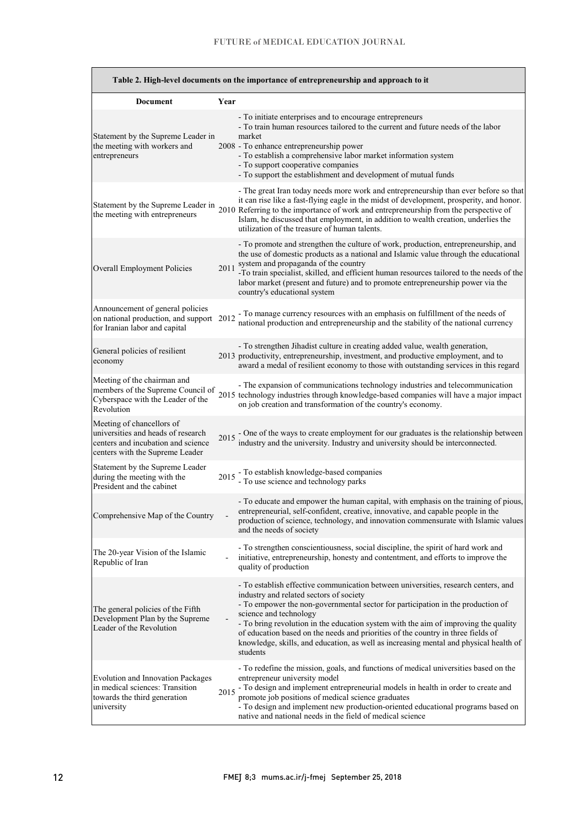$\overline{a}$ 

 $\overline{\phantom{a}}$ 

|                                                                                                                                          |      | Table 2. High-level documents on the importance of entrepreneurship and approach to it                                                                                                                                                                                                                                                                                                                                                                                                                                     |
|------------------------------------------------------------------------------------------------------------------------------------------|------|----------------------------------------------------------------------------------------------------------------------------------------------------------------------------------------------------------------------------------------------------------------------------------------------------------------------------------------------------------------------------------------------------------------------------------------------------------------------------------------------------------------------------|
| <b>Document</b>                                                                                                                          | Year |                                                                                                                                                                                                                                                                                                                                                                                                                                                                                                                            |
| Statement by the Supreme Leader in<br>the meeting with workers and<br>entrepreneurs                                                      |      | - To initiate enterprises and to encourage entrepreneurs<br>- To train human resources tailored to the current and future needs of the labor<br>market<br>2008 - To enhance entrepreneurship power<br>- To establish a comprehensive labor market information system<br>- To support cooperative companies<br>- To support the establishment and development of mutual funds                                                                                                                                               |
| the meeting with entrepreneurs                                                                                                           |      | - The great Iran today needs more work and entrepreneurship than ever before so that<br>it can rise like a fast-flying eagle in the midst of development, prosperity, and honor.<br>Statement by the Supreme Leader in 2010 Referring to the importance of work and entrepreneurship from the perspective of<br>Islam, he discussed that employment, in addition to wealth creation, underlies the<br>utilization of the treasure of human talents.                                                                        |
| Overall Employment Policies                                                                                                              | 2011 | - To promote and strengthen the culture of work, production, entrepreneurship, and<br>the use of domestic products as a national and Islamic value through the educational<br>system and propaganda of the country<br>-To train specialist, skilled, and efficient human resources tailored to the needs of the<br>labor market (present and future) and to promote entrepreneurship power via the<br>country's educational system                                                                                         |
| Announcement of general policies<br>on national production, and support 2012<br>for Iranian labor and capital                            |      | - To manage currency resources with an emphasis on fulfillment of the needs of<br>national production and entrepreneurship and the stability of the national currency                                                                                                                                                                                                                                                                                                                                                      |
| General policies of resilient<br>economy                                                                                                 |      | - To strengthen Jihadist culture in creating added value, wealth generation,<br>2013 productivity, entrepreneurship, investment, and productive employment, and to<br>award a medal of resilient economy to those with outstanding services in this regard                                                                                                                                                                                                                                                                 |
| Meeting of the chairman and<br>members of the Supreme Council of<br>Cyberspace with the Leader of the<br>Revolution                      |      | - The expansion of communications technology industries and telecommunication<br>2015 technology industries through knowledge-based companies will have a major impact<br>on job creation and transformation of the country's economy.                                                                                                                                                                                                                                                                                     |
| Meeting of chancellors of<br>universities and heads of research<br>centers and incubation and science<br>centers with the Supreme Leader |      | 2015 - One of the ways to create employment for our graduates is the relationship between industry and the university. Industry and university should be interconnected.                                                                                                                                                                                                                                                                                                                                                   |
| Statement by the Supreme Leader<br>during the meeting with the<br>President and the cabinet                                              |      | 2015 - To establish knowledge-based companies<br>- To use science and technology parks                                                                                                                                                                                                                                                                                                                                                                                                                                     |
| Comprehensive Map of the Country                                                                                                         |      | - To educate and empower the human capital, with emphasis on the training of pious,<br>entrepreneurial, self-confident, creative, innovative, and capable people in the<br>production of science, technology, and innovation commensurate with Islamic values<br>and the needs of society                                                                                                                                                                                                                                  |
| The 20-year Vision of the Islamic<br>Republic of Iran                                                                                    |      | - To strengthen conscientiousness, social discipline, the spirit of hard work and<br>initiative, entrepreneurship, honesty and contentment, and efforts to improve the<br>quality of production                                                                                                                                                                                                                                                                                                                            |
| The general policies of the Fifth<br>Development Plan by the Supreme<br>Leader of the Revolution                                         |      | - To establish effective communication between universities, research centers, and<br>industry and related sectors of society<br>- To empower the non-governmental sector for participation in the production of<br>science and technology<br>- To bring revolution in the education system with the aim of improving the quality<br>of education based on the needs and priorities of the country in three fields of<br>knowledge, skills, and education, as well as increasing mental and physical health of<br>students |
| <b>Evolution and Innovation Packages</b><br>in medical sciences: Transition<br>towards the third generation<br>university                | 2015 | - To redefine the mission, goals, and functions of medical universities based on the<br>entrepreneur university model<br>- To design and implement entrepreneurial models in health in order to create and<br>promote job positions of medical science graduates<br>- To design and implement new production-oriented educational programs based on<br>native and national needs in the field of medical science                                                                                                           |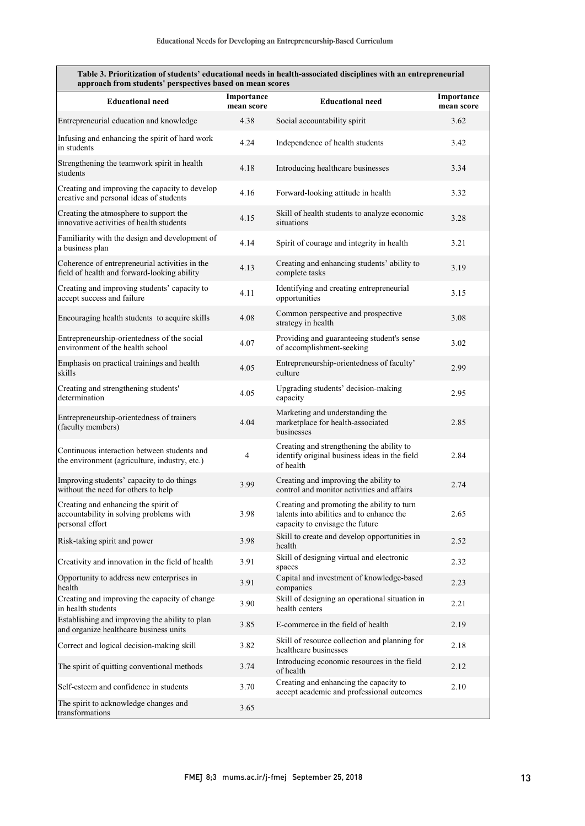| Table 3. Prioritization of students' educational needs in health-associated disciplines with an entrepreneurial<br>approach from students' perspectives based on mean scores |                          |                                                                                                                            |                          |  |  |
|------------------------------------------------------------------------------------------------------------------------------------------------------------------------------|--------------------------|----------------------------------------------------------------------------------------------------------------------------|--------------------------|--|--|
| <b>Educational need</b>                                                                                                                                                      | Importance<br>mean score | <b>Educational need</b>                                                                                                    | Importance<br>mean score |  |  |
| Entrepreneurial education and knowledge                                                                                                                                      | 4.38                     | Social accountability spirit                                                                                               | 3.62                     |  |  |
| Infusing and enhancing the spirit of hard work<br>in students                                                                                                                | 4.24                     | Independence of health students                                                                                            | 3.42                     |  |  |
| Strengthening the teamwork spirit in health<br>students                                                                                                                      | 4.18                     | Introducing healthcare businesses                                                                                          | 3.34                     |  |  |
| Creating and improving the capacity to develop<br>creative and personal ideas of students                                                                                    | 4.16                     | Forward-looking attitude in health                                                                                         | 3.32                     |  |  |
| Creating the atmosphere to support the<br>innovative activities of health students                                                                                           | 4.15                     | Skill of health students to analyze economic<br>situations                                                                 | 3.28                     |  |  |
| Familiarity with the design and development of<br>a business plan                                                                                                            | 4.14                     | Spirit of courage and integrity in health                                                                                  | 3.21                     |  |  |
| Coherence of entrepreneurial activities in the<br>field of health and forward-looking ability                                                                                | 4.13                     | Creating and enhancing students' ability to<br>complete tasks                                                              | 3.19                     |  |  |
| Creating and improving students' capacity to<br>accept success and failure                                                                                                   | 4.11                     | Identifying and creating entrepreneurial<br>opportunities                                                                  | 3.15                     |  |  |
| Encouraging health students to acquire skills                                                                                                                                | 4.08                     | Common perspective and prospective<br>strategy in health                                                                   | 3.08                     |  |  |
| Entrepreneurship-orientedness of the social<br>environment of the health school                                                                                              | 4.07                     | Providing and guaranteeing student's sense<br>of accomplishment-seeking                                                    | 3.02                     |  |  |
| Emphasis on practical trainings and health<br>skills                                                                                                                         | 4.05                     | Entrepreneurship-orientedness of faculty'<br>culture                                                                       | 2.99                     |  |  |
| Creating and strengthening students'<br>determination                                                                                                                        | 4.05                     | Upgrading students' decision-making<br>capacity                                                                            | 2.95                     |  |  |
| Entrepreneurship-orientedness of trainers<br>(faculty members)                                                                                                               | 4.04                     | Marketing and understanding the<br>marketplace for health-associated<br>businesses                                         | 2.85                     |  |  |
| Continuous interaction between students and<br>the environment (agriculture, industry, etc.)                                                                                 | $\overline{4}$           | Creating and strengthening the ability to<br>identify original business ideas in the field<br>of health                    | 2.84                     |  |  |
| Improving students' capacity to do things<br>without the need for others to help                                                                                             | 3.99                     | Creating and improving the ability to<br>control and monitor activities and affairs                                        | 2.74                     |  |  |
| Creating and enhancing the spirit of<br>accountability in solving problems with<br>personal effort                                                                           | 3.98                     | Creating and promoting the ability to turn<br>talents into abilities and to enhance the<br>capacity to envisage the future | 2.65                     |  |  |
| Risk-taking spirit and power                                                                                                                                                 | 3.98                     | Skill to create and develop opportunities in<br>health                                                                     | 2.52                     |  |  |
| Creativity and innovation in the field of health                                                                                                                             | 3.91                     | Skill of designing virtual and electronic<br>spaces                                                                        | 2.32                     |  |  |
| Opportunity to address new enterprises in<br>health                                                                                                                          | 3.91                     | Capital and investment of knowledge-based<br>companies                                                                     | 2.23                     |  |  |
| Creating and improving the capacity of change<br>in health students                                                                                                          | 3.90                     | Skill of designing an operational situation in<br>health centers                                                           | 2.21                     |  |  |
| Establishing and improving the ability to plan<br>and organize healthcare business units                                                                                     | 3.85                     | E-commerce in the field of health                                                                                          | 2.19                     |  |  |
| Correct and logical decision-making skill                                                                                                                                    | 3.82                     | Skill of resource collection and planning for<br>healthcare businesses                                                     | 2.18                     |  |  |
| The spirit of quitting conventional methods                                                                                                                                  | 3.74                     | Introducing economic resources in the field<br>of health                                                                   | 2.12                     |  |  |
| Self-esteem and confidence in students                                                                                                                                       | 3.70                     | Creating and enhancing the capacity to<br>accept academic and professional outcomes                                        | 2.10                     |  |  |
| The spirit to acknowledge changes and<br>transformations                                                                                                                     | 3.65                     |                                                                                                                            |                          |  |  |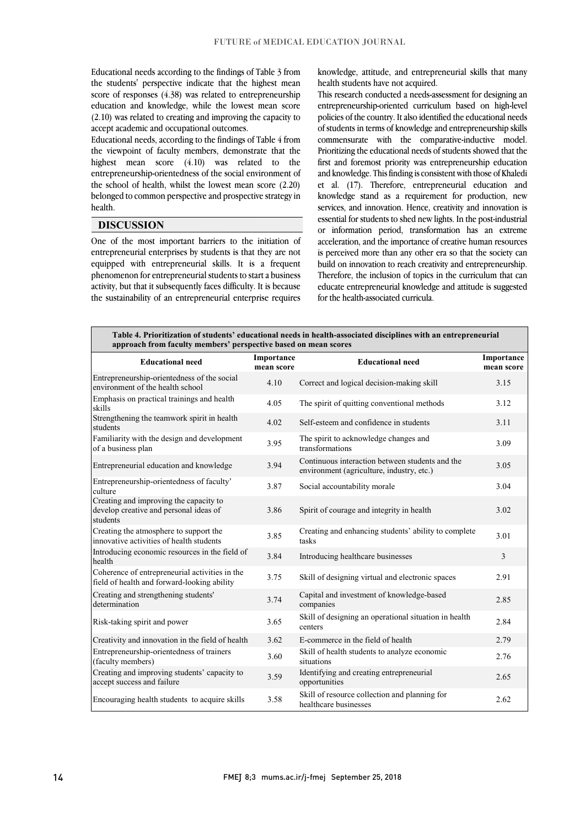Educational needs according to the findings of Table 3 from the students' perspective indicate that the highest mean score of responses (4.38) was related to entrepreneurship education and knowledge, while the lowest mean score (2.10) was related to creating and improving the capacity to accept academic and occupational outcomes.

Educational needs, according to the findings of Table 4 from the viewpoint of faculty members, demonstrate that the highest mean score (4.10) was related to the entrepreneurship-orientedness of the social environment of the school of health, whilst the lowest mean score (2.20) belonged to common perspective and prospective strategy in health.

### **DISCUSSION**

One of the most important barriers to the initiation of entrepreneurial enterprises by students is that they are not equipped with entrepreneurial skills. It is a frequent phenomenon for entrepreneurial students to start a business activity, but that it subsequently faces difficulty. It is because the sustainability of an entrepreneurial enterprise requires knowledge, attitude, and entrepreneurial skills that many health students have not acquired.

This research conducted a needs-assessment for designing an entrepreneurship-oriented curriculum based on high-level policies of the country. It also identified the educational needs of students in terms of knowledge and entrepreneurship skills commensurate with the comparative-inductive model. Prioritizing the educational needs of students showed that the first and foremost priority was entrepreneurship education and knowledge. This finding is consistent with those of Khaledi et al. (17). Therefore, entrepreneurial education and knowledge stand as a requirement for production, new services, and innovation. Hence, creativity and innovation is essential for students to shed new lights. In the post-industrial or information period, transformation has an extreme acceleration, and the importance of creative human resources is perceived more than any other era so that the society can build on innovation to reach creativity and entrepreneurship. Therefore, the inclusion of topics in the curriculum that can educate entrepreneurial knowledge and attitude is suggested for the health-associated curricula.

| Table 4. Prioritization of students' educational needs in health-associated disciplines with an entrepreneurial<br>approach from faculty members' perspective based on mean scores |                          |                                                                                              |                          |  |  |  |
|------------------------------------------------------------------------------------------------------------------------------------------------------------------------------------|--------------------------|----------------------------------------------------------------------------------------------|--------------------------|--|--|--|
| <b>Educational need</b>                                                                                                                                                            | Importance<br>mean score | <b>Educational need</b>                                                                      | Importance<br>mean score |  |  |  |
| Entrepreneurship-orientedness of the social<br>environment of the health school                                                                                                    | 4.10                     | Correct and logical decision-making skill                                                    | 3.15                     |  |  |  |
| Emphasis on practical trainings and health<br>skills                                                                                                                               | 4.05                     | The spirit of quitting conventional methods                                                  | 3.12                     |  |  |  |
| Strengthening the teamwork spirit in health<br>students                                                                                                                            | 4.02                     | Self-esteem and confidence in students                                                       | 3.11                     |  |  |  |
| Familiarity with the design and development<br>of a business plan                                                                                                                  | 3.95                     | The spirit to acknowledge changes and<br>transformations                                     | 3.09                     |  |  |  |
| Entrepreneurial education and knowledge                                                                                                                                            | 3.94                     | Continuous interaction between students and the<br>environment (agriculture, industry, etc.) | 3.05                     |  |  |  |
| Entrepreneurship-orientedness of faculty'<br>culture                                                                                                                               | 3.87                     | Social accountability morale                                                                 | 3.04                     |  |  |  |
| Creating and improving the capacity to<br>develop creative and personal ideas of<br>students                                                                                       | 3.86                     | Spirit of courage and integrity in health                                                    | 3.02                     |  |  |  |
| Creating the atmosphere to support the<br>innovative activities of health students                                                                                                 | 3.85                     | Creating and enhancing students' ability to complete<br>tasks                                | 3.01                     |  |  |  |
| Introducing economic resources in the field of<br>health                                                                                                                           | 3.84                     | Introducing healthcare businesses                                                            | 3                        |  |  |  |
| Coherence of entrepreneurial activities in the<br>field of health and forward-looking ability                                                                                      | 3.75                     | Skill of designing virtual and electronic spaces                                             | 2.91                     |  |  |  |
| Creating and strengthening students'<br>determination                                                                                                                              | 3.74                     | Capital and investment of knowledge-based<br>companies                                       | 2.85                     |  |  |  |
| Risk-taking spirit and power                                                                                                                                                       | 3.65                     | Skill of designing an operational situation in health<br>centers                             | 2.84                     |  |  |  |
| Creativity and innovation in the field of health                                                                                                                                   | 3.62                     | E-commerce in the field of health                                                            | 2.79                     |  |  |  |
| Entrepreneurship-orientedness of trainers<br>(faculty members)                                                                                                                     | 3.60                     | Skill of health students to analyze economic<br>situations                                   | 2.76                     |  |  |  |
| Creating and improving students' capacity to<br>accept success and failure                                                                                                         | 3.59                     | Identifying and creating entrepreneurial<br>opportunities                                    | 2.65                     |  |  |  |
| Encouraging health students to acquire skills                                                                                                                                      | 3.58                     | Skill of resource collection and planning for<br>healthcare businesses                       | 2.62                     |  |  |  |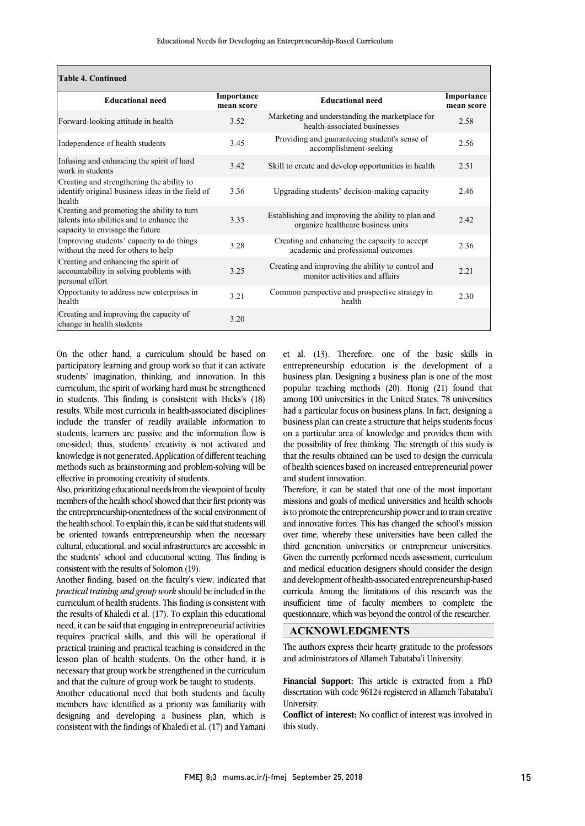| <b>Table 4. Continued</b>                                                                                                  |                          |                                                                                          |                          |
|----------------------------------------------------------------------------------------------------------------------------|--------------------------|------------------------------------------------------------------------------------------|--------------------------|
| <b>Educational need</b>                                                                                                    | Importance<br>mean score | <b>Educational need</b>                                                                  | Importance<br>mean score |
| Forward-looking attitude in health                                                                                         | 3.52                     | Marketing and understanding the marketplace for<br>health-associated businesses          | 2.58                     |
| Independence of health students                                                                                            | 3.45                     | Providing and guaranteeing student's sense of<br>accomplishment-seeking                  | 2.56                     |
| Infusing and enhancing the spirit of hard<br>work in students                                                              | 3.42                     | Skill to create and develop opportunities in health                                      | 2.51                     |
| Creating and strengthening the ability to<br>identify original business ideas in the field of<br>health                    | 3.36                     | Upgrading students' decision-making capacity                                             | 2.46                     |
| Creating and promoting the ability to turn<br>talents into abilities and to enhance the<br>capacity to envisage the future | 3.35                     | Establishing and improving the ability to plan and<br>organize healthcare business units | 2.42                     |
| Improving students' capacity to do things<br>without the need for others to help                                           | 3.28                     | Creating and enhancing the capacity to accept<br>academic and professional outcomes      | 2.36                     |
| Creating and enhancing the spirit of<br>accountability in solving problems with<br>personal effort                         | 3.25                     | Creating and improving the ability to control and<br>monitor activities and affairs      | 2.21                     |
| Opportunity to address new enterprises in<br>health                                                                        | 3.21                     | Common perspective and prospective strategy in<br>health                                 | 2.30                     |
| Creating and improving the capacity of<br>change in health students                                                        | 3.20                     |                                                                                          |                          |

On the other hand, a curriculum should be based on participatory learning and group work so that it can activate students' imagination, thinking, and innovation. In this curriculum, the spirit of working hard must be strengthened in students. This finding is consistent with Hicks's (18) results. While most curricula in health-associated disciplines include the transfer of readily available information to students, learners are passive and the information flow is one-sided; thus, students' creativity is not activated and knowledge is not generated. Application of different teaching methods such as brainstorming and problem-solving will be effective in promoting creativity of students.

Also, prioritizing educational needs from the viewpoint of faculty members of the health school showed that their first priority was the entrepreneurship-orientedness of the social environment of the health school. To explain this, it can be said that students will be oriented towards entrepreneurship when the necessary cultural, educational, and social infrastructures are accessible in the students' school and educational setting. This finding is consistent with the results of Solomon (19).

Another finding, based on the faculty's view, indicated that *practical training and group work* should be included in the curriculum of health students. This finding is consistent with the results of Khaledi et al. (17). To explain this educational need, it can be said that engaging in entrepreneurial activities requires practical skills, and this will be operational if practical training and practical teaching is considered in the lesson plan of health students. On the other hand, it is necessary that group work be strengthened in the curriculum and that the culture of group work be taught to students.

Another educational need that both students and faculty members have identified as a priority was familiarity with designing and developing a business plan, which is consistent with the findings of Khaledi et al. (17) and Yamani et al. (13). Therefore, one of the basic skills in entrepreneurship education is the development of a business plan. Designing a business plan is one of the most popular teaching methods (20). Honig (21) found that among 100 universities in the United States, 78 universities had a particular focus on business plans. In fact, designing a business plan can create a structure that helps students focus on a particular area of knowledge and provides them with the possibility of free thinking. The strength of this study is that the results obtained can be used to design the curricula of health sciences based on increased entrepreneurial power and student innovation.

Therefore, it can be stated that one of the most important missions and goals of medical universities and health schools is to promote the entrepreneurship power and to train creative and innovative forces. This has changed the school's mission over time, whereby these universities have been called the third generation universities or entrepreneur universities. Given the currently performed needs assessment, curriculum and medical education designers should consider the design and development of health-associated entrepreneurship-based curricula. Among the limitations of this research was the insufficient time of faculty members to complete the questionnaire, which was beyond the control of the researcher.

#### **ACKNOWLEDGMENTS**

The authors express their hearty gratitude to the professors and administrators of Allameh Tabataba'i University.

**Financial Support:** This article is extracted from a PhD dissertation with code 96124 registered in Allameh Tabataba'i University.

**Conflict of interest:** No conflict of interest was involved in this study.